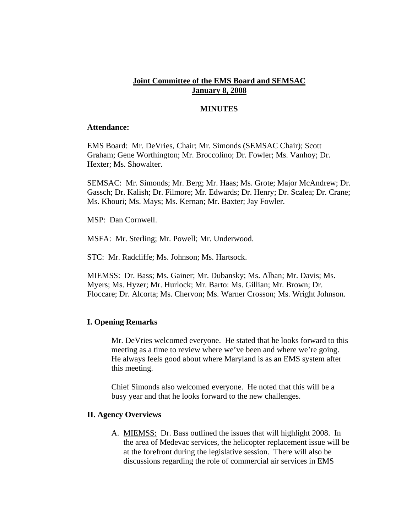# **Joint Committee of the EMS Board and SEMSAC January 8, 2008**

# **MINUTES**

#### **Attendance:**

EMS Board: Mr. DeVries, Chair; Mr. Simonds (SEMSAC Chair); Scott Graham; Gene Worthington; Mr. Broccolino; Dr. Fowler; Ms. Vanhoy; Dr. Hexter; Ms. Showalter.

SEMSAC: Mr. Simonds; Mr. Berg; Mr. Haas; Ms. Grote; Major McAndrew; Dr. Gassch; Dr. Kalish; Dr. Filmore; Mr. Edwards; Dr. Henry; Dr. Scalea; Dr. Crane; Ms. Khouri; Ms. Mays; Ms. Kernan; Mr. Baxter; Jay Fowler.

MSP: Dan Cornwell.

MSFA: Mr. Sterling; Mr. Powell; Mr. Underwood.

STC: Mr. Radcliffe; Ms. Johnson; Ms. Hartsock.

MIEMSS: Dr. Bass; Ms. Gainer; Mr. Dubansky; Ms. Alban; Mr. Davis; Ms. Myers; Ms. Hyzer; Mr. Hurlock; Mr. Barto: Ms. Gillian; Mr. Brown; Dr. Floccare; Dr. Alcorta; Ms. Chervon; Ms. Warner Crosson; Ms. Wright Johnson.

### **I. Opening Remarks**

Mr. DeVries welcomed everyone. He stated that he looks forward to this meeting as a time to review where we've been and where we're going. He always feels good about where Maryland is as an EMS system after this meeting.

Chief Simonds also welcomed everyone. He noted that this will be a busy year and that he looks forward to the new challenges.

#### **II. Agency Overviews**

A. MIEMSS: Dr. Bass outlined the issues that will highlight 2008. In the area of Medevac services, the helicopter replacement issue will be at the forefront during the legislative session. There will also be discussions regarding the role of commercial air services in EMS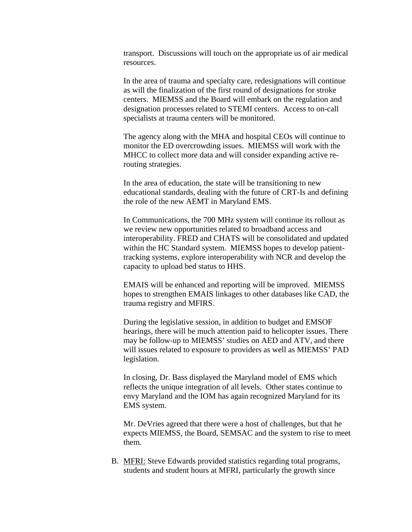transport. Discussions will touch on the appropriate us of air medical resources.

In the area of trauma and specialty care, redesignations will continue as will the finalization of the first round of designations for stroke centers. MIEMSS and the Board will embark on the regulation and designation processes related to STEMI centers. Access to on-call specialists at trauma centers will be monitored.

The agency along with the MHA and hospital CEOs will continue to monitor the ED overcrowding issues. MIEMSS will work with the MHCC to collect more data and will consider expanding active rerouting strategies.

In the area of education, the state will be transitioning to new educational standards, dealing with the future of CRT-Is and defining the role of the new AEMT in Maryland EMS.

In Communications, the 700 MHz system will continue its rollout as we review new opportunities related to broadband access and interoperability. FRED and CHATS will be consolidated and updated within the HC Standard system. MIEMSS hopes to develop patienttracking systems, explore interoperability with NCR and develop the capacity to upload bed status to HHS.

EMAIS will be enhanced and reporting will be improved. MIEMSS hopes to strengthen EMAIS linkages to other databases like CAD, the trauma registry and MFIRS.

During the legislative session, in addition to budget and EMSOF hearings, there will be much attention paid to helicopter issues. There may be follow-up to MIEMSS' studies on AED and ATV, and there will issues related to exposure to providers as well as MIEMSS' PAD legislation.

In closing, Dr. Bass displayed the Maryland model of EMS which reflects the unique integration of all levels. Other states continue to envy Maryland and the IOM has again recognized Maryland for its EMS system.

Mr. DeVries agreed that there were a host of challenges, but that he expects MIEMSS, the Board, SEMSAC and the system to rise to meet them.

B. MFRI: Steve Edwards provided statistics regarding total programs, students and student hours at MFRI, particularly the growth since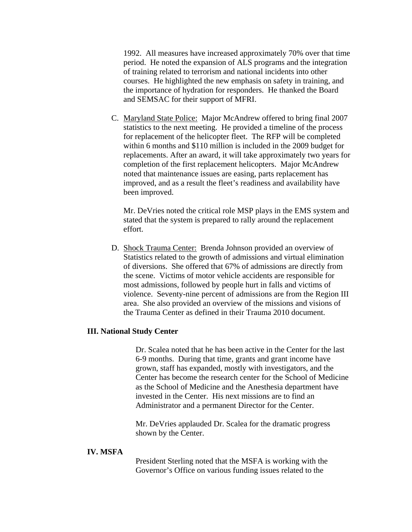1992. All measures have increased approximately 70% over that time period. He noted the expansion of ALS programs and the integration of training related to terrorism and national incidents into other courses. He highlighted the new emphasis on safety in training, and the importance of hydration for responders. He thanked the Board and SEMSAC for their support of MFRI.

C. Maryland State Police: Major McAndrew offered to bring final 2007 statistics to the next meeting. He provided a timeline of the process for replacement of the helicopter fleet. The RFP will be completed within 6 months and \$110 million is included in the 2009 budget for replacements. After an award, it will take approximately two years for completion of the first replacement helicopters. Major McAndrew noted that maintenance issues are easing, parts replacement has improved, and as a result the fleet's readiness and availability have been improved.

Mr. DeVries noted the critical role MSP plays in the EMS system and stated that the system is prepared to rally around the replacement effort.

D. Shock Trauma Center: Brenda Johnson provided an overview of Statistics related to the growth of admissions and virtual elimination of diversions. She offered that 67% of admissions are directly from the scene. Victims of motor vehicle accidents are responsible for most admissions, followed by people hurt in falls and victims of violence. Seventy-nine percent of admissions are from the Region III area. She also provided an overview of the missions and visions of the Trauma Center as defined in their Trauma 2010 document.

### **III. National Study Center**

Dr. Scalea noted that he has been active in the Center for the last 6-9 months. During that time, grants and grant income have grown, staff has expanded, mostly with investigators, and the Center has become the research center for the School of Medicine as the School of Medicine and the Anesthesia department have invested in the Center. His next missions are to find an Administrator and a permanent Director for the Center.

Mr. DeVries applauded Dr. Scalea for the dramatic progress shown by the Center.

## **IV. MSFA**

President Sterling noted that the MSFA is working with the Governor's Office on various funding issues related to the